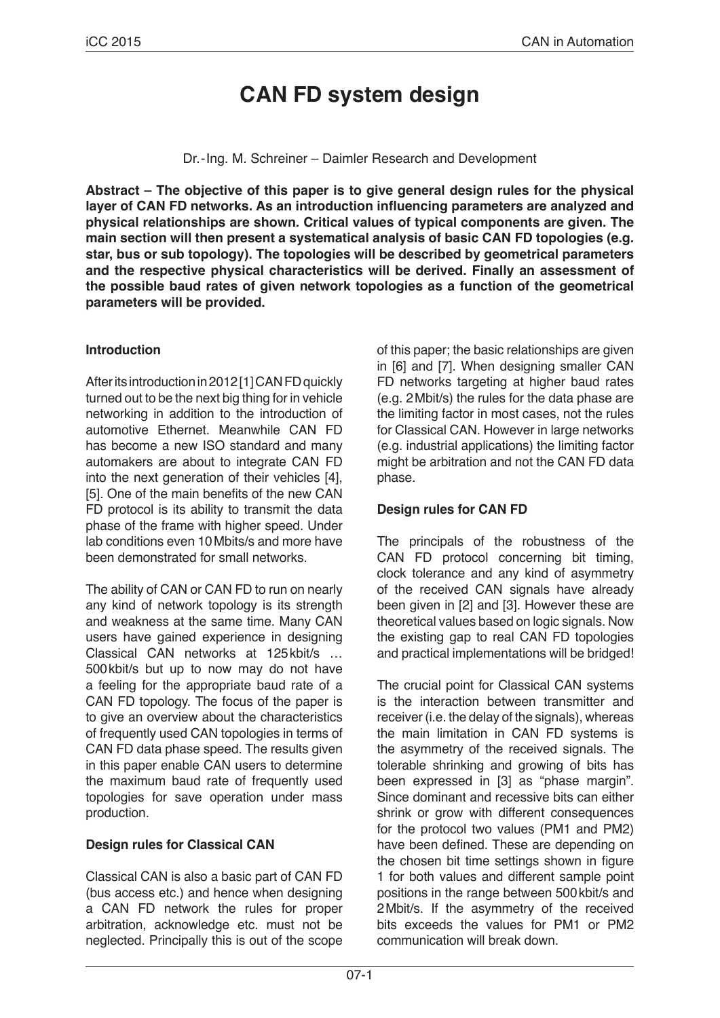# **CAN FD system design**

Dr. - Ing. M. Schreiner – Daimler Research and Development

**Abstract – The objective of this paper is to give general design rules for the physical layer of CAN FD networks. As an introduction influencing parameters are analyzed and physical relationships are shown. Critical values of typical components are given. The main section will then present a systematical analysis of basic CAN FD topologies (e.g. star, bus or sub topology). The topologies will be described by geometrical parameters and the respective physical characteristics will be derived. Finally an assessment of the possible baud rates of given network topologies as a function of the geometrical parameters will be provided.**

#### **Introduction**

After its introduction in 2012 [1] CAN FD quickly turned out to be the next big thing for in vehicle networking in addition to the introduction of automotive Ethernet. Meanwhile CAN FD has become a new ISO standard and many automakers are about to integrate CAN  FD into the next generation of their vehicles [4], [5]. One of the main benefits of the new CAN FD protocol is its ability to transmit the data phase of the frame with higher speed. Under lab conditions even 10Mbits/s and more have been demonstrated for small networks.

The ability of CAN or CAN FD to run on nearly any kind of network topology is its strength and weakness at the same time. Many CAN users have gained experience in designing Classical CAN networks at 125kbit/s … 500kbit/s but up to now may do not have a feeling for the appropriate baud rate of a CAN FD topology. The focus of the paper is to give an overview about the characteristics of frequently used CAN topologies in terms of CAN FD data phase speed. The results given in this paper enable CAN users to determine the maximum baud rate of frequently used topologies for save operation under mass production.

### **Design rules for Classical CAN**

Classical CAN is also a basic part of CAN FD (bus access etc.) and hence when designing a CAN FD network the rules for proper arbitration, acknowledge etc. must not be neglected. Principally this is out of the scope of this paper; the basic relationships are given in [6] and [7]. When designing smaller CAN FD networks targeting at higher baud rates (e.g. 2Mbit/s) the rules for the data phase are the limiting factor in most cases, not the rules for Classical CAN. However in large networks (e.g. industrial applications) the limiting factor might be arbitration and not the CAN FD data phase.

## **Design rules for CAN FD**

The principals of the robustness of the CAN FD protocol concerning bit timing, clock tolerance and any kind of asymmetry of the received CAN signals have already been given in [2] and [3]. However these are theoretical values based on logic signals. Now the existing gap to real CAN FD topologies and practical implementations will be bridged!

The crucial point for Classical CAN systems is the interaction between transmitter and receiver (i.e. the delay of the signals), whereas the main limitation in CAN FD systems is the asymmetry of the received signals. The tolerable shrinking and growing of bits has been expressed in [3] as "phase margin". Since dominant and recessive bits can either shrink or grow with different consequences for the protocol two values (PM1 and PM2) have been defined. These are depending on the chosen bit time settings shown in figure 1 for both values and different sample point positions in the range between 500kbit/s and 2Mbit/s. If the asymmetry of the received bits exceeds the values for PM1 or PM2 communication will break down.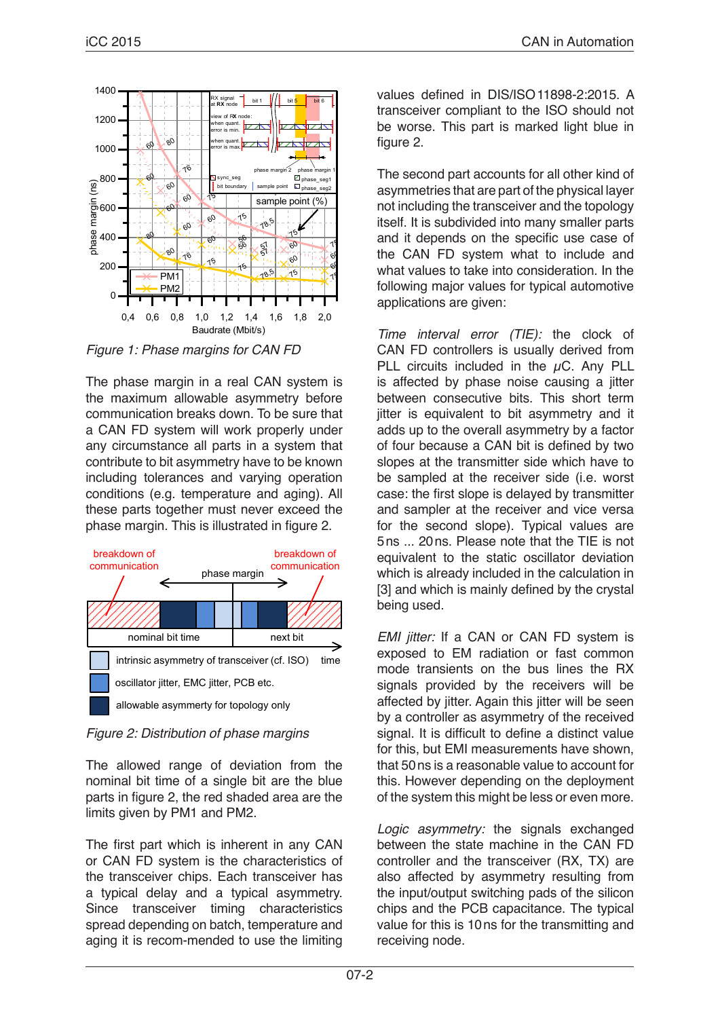

*Figure 1: Phase margins for CAN FD*

The phase margin in a real CAN system is the maximum allowable asymmetry before communication breaks down. To be sure that a CAN FD system will work properly under any circumstance all parts in a system that contribute to bit asymmetry have to be known including tolerances and varying operation conditions (e.g. temperature and aging). All these parts together must never exceed the phase margin. This is illustrated in figure 2.



*Figure 2: Distribution of phase margins*

The allowed range of deviation from the nominal bit time of a single bit are the blue parts in figure 2, the red shaded area are the limits given by PM1 and PM2.

The first part which is inherent in any CAN or CAN FD system is the characteristics of the transceiver chips. Each transceiver has a typical delay and a typical asymmetry. Since transceiver timing characteristics spread depending on batch, temperature and aging it is recom-mended to use the limiting values defined in DIS/ISO 11898-2:2015. A transceiver compliant to the ISO should not be worse. This part is marked light blue in figure 2.

The second part accounts for all other kind of asymmetries that are part of the physical layer not including the transceiver and the topology itself. It is subdivided into many smaller parts and it depends on the specific use case of the CAN FD system what to include and what values to take into consideration. In the following major values for typical automotive applications are given:

*Time interval error (TIE):* the clock of CAN FD controllers is usually derived from PLL circuits included in the  $\mu$ C. Any PLL is affected by phase noise causing a jitter between consecutive bits. This short term jitter is equivalent to bit asymmetry and it adds up to the overall asymmetry by a factor of four because a CAN bit is defined by two slopes at the transmitter side which have to be sampled at the receiver side (i.e. worst case: the first slope is delayed by transmitter and sampler at the receiver and vice versa for the second slope). Typical values are 5ns ... 20ns. Please note that the TIE is not equivalent to the static oscillator deviation which is already included in the calculation in [3] and which is mainly defined by the crystal being used.

*EMI jitter:* If a CAN or CAN FD system is exposed to EM radiation or fast common mode transients on the bus lines the RX signals provided by the receivers will be affected by jitter. Again this jitter will be seen by a controller as asymmetry of the received signal. It is difficult to define a distinct value for this, but EMI measurements have shown, that 50ns is a reasonable value to account for this. However depending on the deployment of the system this might be less or even more.

*Logic asymmetry:* the signals exchanged between the state machine in the CAN FD controller and the transceiver (RX, TX) are also affected by asymmetry resulting from the input/output switching pads of the silicon chips and the PCB capacitance. The typical value for this is 10ns for the transmitting and receiving node.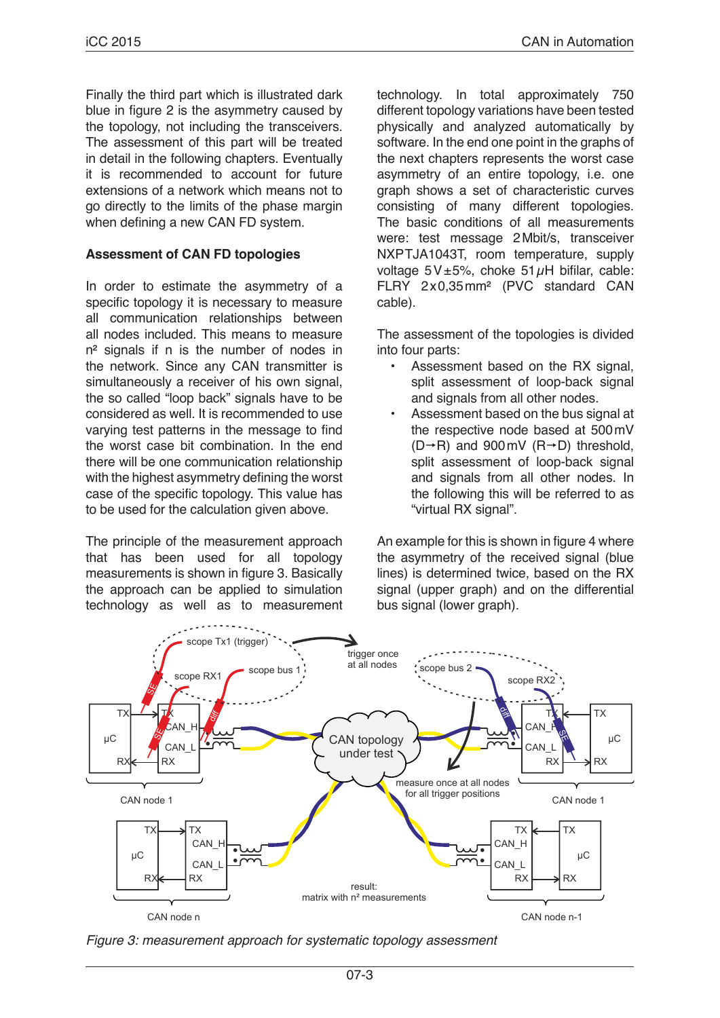Finally the third part which is illustrated dark blue in figure 2 is the asymmetry caused by the topology, not including the transceivers. The assessment of this part will be treated in detail in the following chapters. Eventually it is recommended to account for future extensions of a network which means not to go directly to the limits of the phase margin when defining a new CAN FD system.

### **Assessment of CAN FD topologies**

In order to estimate the asymmetry of a specific topology it is necessary to measure all communication relationships between all nodes included. This means to measure n² signals if n is the number of nodes in the network. Since any CAN transmitter is simultaneously a receiver of his own signal, the so called "loop back" signals have to be considered as well. It is recommended to use varying test patterns in the message to find the worst case bit combination. In the end there will be one communication relationship with the highest asymmetry defining the worst case of the specific topology. This value has to be used for the calculation given above.

The principle of the measurement approach that has been used for all topology measurements is shown in figure 3. Basically the approach can be applied to simulation technology as well as to measurement technology. In total approximately 750 different topology variations have been tested physically and analyzed automatically by software. In the end one point in the graphs of the next chapters represents the worst case asymmetry of an entire topology, i.e. one graph shows a set of characteristic curves consisting of many different topologies. The basic conditions of all measurements were: test message 2Mbit/s, transceiver NXPTJA1043T, room temperature, supply voltage  $5V±5%$ , choke  $51\,\mu$ H bifilar, cable: FLRY 2x0,35mm² (PVC standard CAN cable).

The assessment of the topologies is divided into four parts:

- Assessment based on the RX signal. split assessment of loop-back signal and signals from all other nodes.
- Assessment based on the bus signal at the respective node based at 500mV  $(D\rightarrow R)$  and 900 mV (R $\rightarrow$ D) threshold, split assessment of loop-back signal and signals from all other nodes. In the following this will be referred to as "virtual RX signal".

An example for this is shown in figure 4 where the asymmetry of the received signal (blue lines) is determined twice, based on the RX signal (upper graph) and on the differential bus signal (lower graph).



*Figure 3: measurement approach for systematic topology assessment*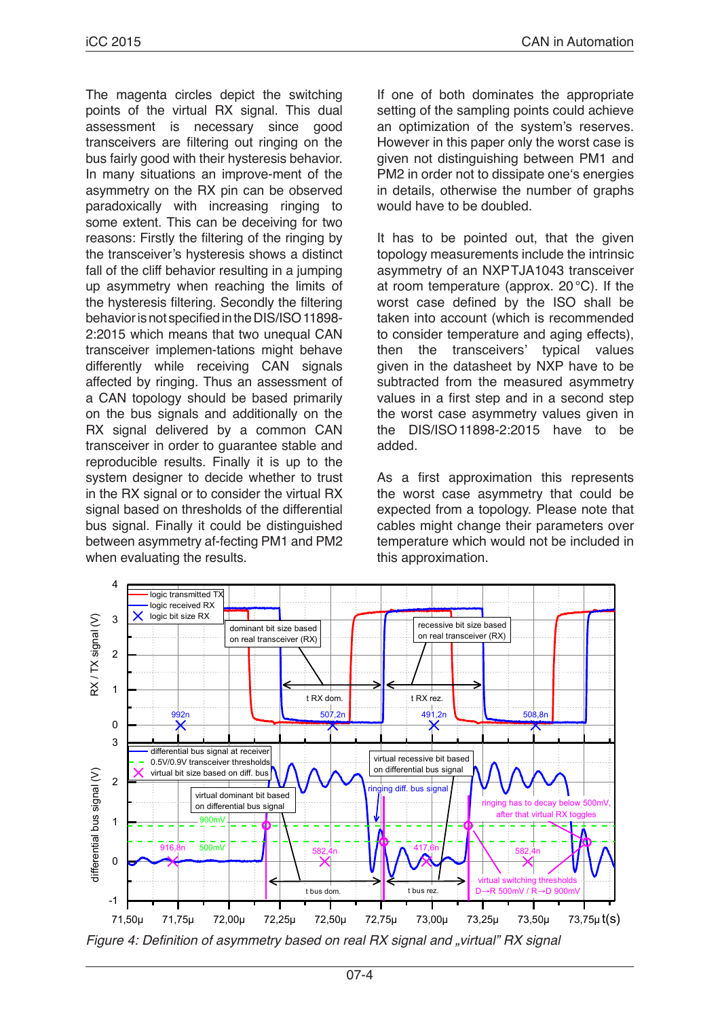The magenta circles depict the switching points of the virtual RX signal. This dual assessment is necessary since good transceivers are filtering out ringing on the bus fairly good with their hysteresis behavior. In many situations an improve-ment of the asymmetry on the RX pin can be observed paradoxically with increasing ringing to some extent. This can be deceiving for two reasons: Firstly the filtering of the ringing by the transceiver's hysteresis shows a distinct fall of the cliff behavior resulting in a jumping up asymmetry when reaching the limits of the hysteresis filtering. Secondly the filtering behavior is not specified in the DIS/ISO 11898-2:2015 which means that two unequal CAN transceiver implemen-tations might behave differently while receiving CAN signals affected by ringing. Thus an assessment of a CAN topology should be based primarily on the bus signals and additionally on the RX signal delivered by a common CAN transceiver in order to guarantee stable and reproducible results. Finally it is up to the system designer to decide whether to trust in the RX signal or to consider the virtual RX signal based on thresholds of the differential bus signal. Finally it could be distinguished between asymmetry af-fecting PM1 and PM2 when evaluating the results.

If one of both dominates the appropriate setting of the sampling points could achieve an optimization of the system's reserves. However in this paper only the worst case is given not distinguishing between PM1 and PM2 in order not to dissipate one's energies in details, otherwise the number of graphs would have to be doubled.

It has to be pointed out, that the given topology measurements include the intrinsic asymmetry of an NXPTJA1043 transceiver at room temperature (approx. 20°C). If the worst case defined by the ISO shall be taken into account (which is recommended to consider temperature and aging effects), then the transceivers' typical values given in the datasheet by NXP have to be subtracted from the measured asymmetry values in a first step and in a second step the worst case asymmetry values given in the DIS/ISO11898-2:2015 have to be added.

As a first approximation this represents the worst case asymmetry that could be expected from a topology. Please note that cables might change their parameters over temperature which would not be included in this approximation.



Figure 4: Definition of asymmetry based on real RX signal and "virtual" RX signal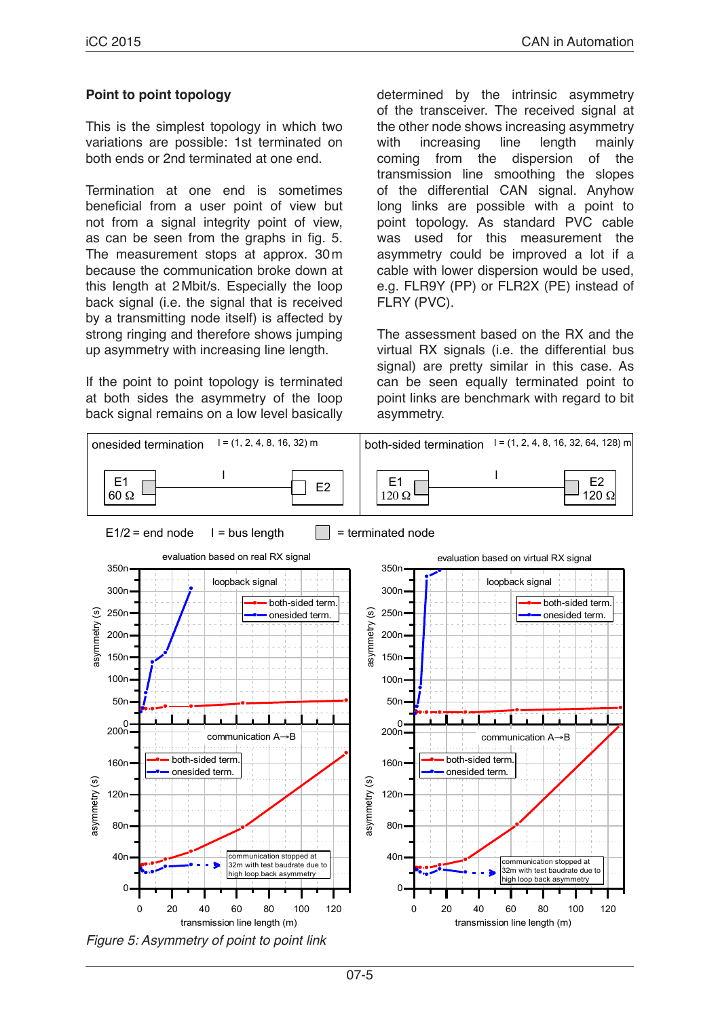#### **Point to point topology**

This is the simplest topology in which two variations are possible: 1st terminated on both ends or 2nd terminated at one end.

Termination at one end is sometimes beneficial from a user point of view but not from a signal integrity point of view, as can be seen from the graphs in fig. 5. The measurement stops at approx. 30m because the communication broke down at this length at 2Mbit/s. Especially the loop back signal (i.e. the signal that is received by a transmitting node itself) is affected by strong ringing and therefore shows jumping up asymmetry with increasing line length.

If the point to point topology is terminated at both sides the asymmetry of the loop back signal remains on a low level basically determined by the intrinsic asymmetry of the transceiver. The received signal at the other node shows increasing asymmetry<br>with increasing line length mainly with increasing line length mainly coming from the dispersion of the transmission line smoothing the slopes of the differential CAN signal. Anyhow long links are possible with a point to point topology. As standard PVC cable was used for this measurement the asymmetry could be improved a lot if a cable with lower dispersion would be used, e.g. FLR9Y (PP) or FLR2X (PE) instead of FLRY (PVC).

The assessment based on the RX and the virtual RX signals (i.e. the differential bus signal) are pretty similar in this case. As can be seen equally terminated point to point links are benchmark with regard to bit asymmetry.



*Figure 5: Asymmetry of point to point link*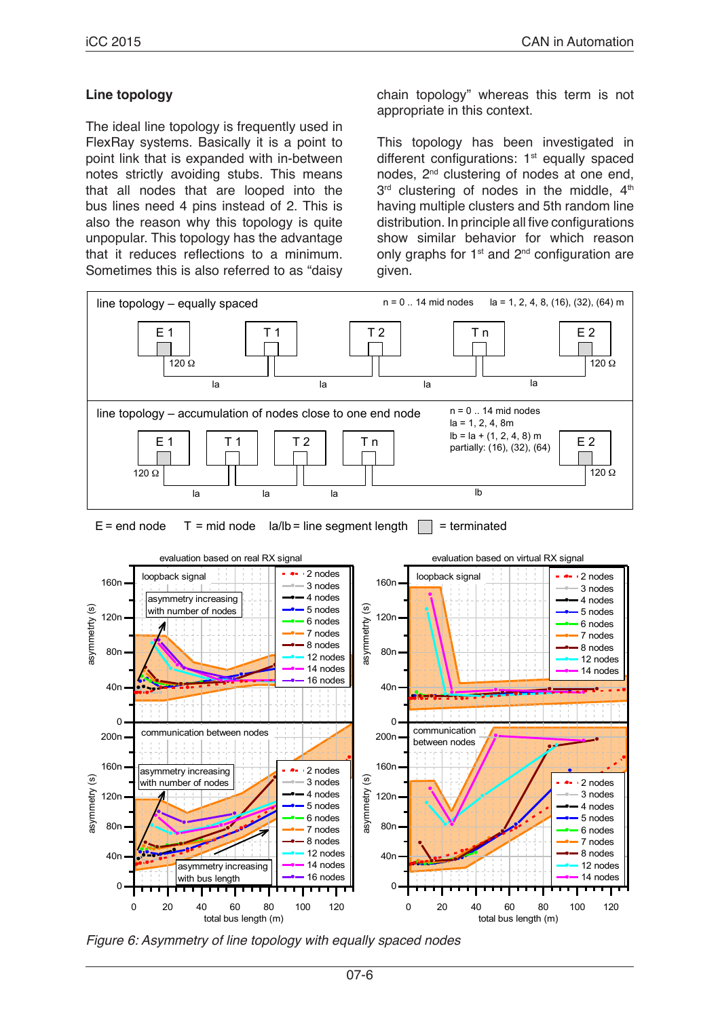#### **Line topology**

The ideal line topology is frequently used in FlexRay systems. Basically it is a point to point link that is expanded with in-between notes strictly avoiding stubs. This means that all nodes that are looped into the bus lines need 4 pins instead of 2. This is also the reason why this topology is quite unpopular. This topology has the advantage that it reduces reflections to a minimum. Sometimes this is also referred to as "daisy

chain topology" whereas this term is not appropriate in this context.

This topology has been investigated in different configurations: 1<sup>st</sup> equally spaced nodes, 2nd clustering of nodes at one end, 3rd clustering of nodes in the middle, 4th having multiple clusters and 5th random line distribution. In principle all five configurations show similar behavior for which reason only graphs for  $1<sup>st</sup>$  and  $2<sup>nd</sup>$  configuration are given.



 $T = mid node$  la/lb = line segment length  $\Box$  = terminated  $E = end node$ 



*Figure 6: Asymmetry of line topology with equally spaced nodes*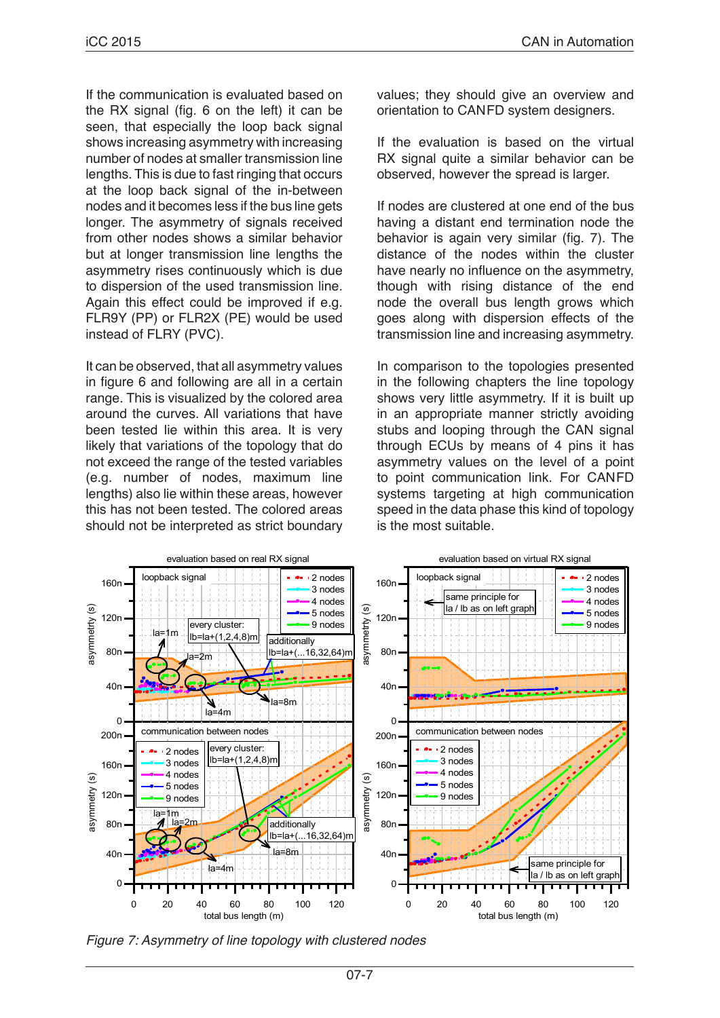If the communication is evaluated based on the RX signal (fig. 6 on the left) it can be seen, that especially the loop back signal shows increasing asymmetry with increasing number of nodes at smaller transmission line lengths. This is due to fast ringing that occurs at the loop back signal of the in-between nodes and it becomes less if the bus line gets longer. The asymmetry of signals received from other nodes shows a similar behavior but at longer transmission line lengths the asymmetry rises continuously which is due to dispersion of the used transmission line. Again this effect could be improved if e.g. FLR9Y (PP) or FLR2X (PE) would be used instead of FLRY (PVC).

It can be observed, that all asymmetry values in figure 6 and following are all in a certain range. This is visualized by the colored area around the curves. All variations that have been tested lie within this area. It is very likely that variations of the topology that do not exceed the range of the tested variables (e.g. number of nodes, maximum line lengths) also lie within these areas, however this has not been tested. The colored areas should not be interpreted as strict boundary values; they should give an overview and orientation to CAN FD system designers.

If the evaluation is based on the virtual RX signal quite a similar behavior can be observed, however the spread is larger.

If nodes are clustered at one end of the bus having a distant end termination node the behavior is again very similar (fig. 7). The distance of the nodes within the cluster have nearly no influence on the asymmetry, though with rising distance of the end node the overall bus length grows which goes along with dispersion effects of the transmission line and increasing asymmetry.

In comparison to the topologies presented in the following chapters the line topology shows very little asymmetry. If it is built up in an appropriate manner strictly avoiding stubs and looping through the CAN signal through ECUs by means of 4 pins it has asymmetry values on the level of a point to point communication link. For CAN FD systems targeting at high communication speed in the data phase this kind of topology is the most suitable.



*Figure 7: Asymmetry of line topology with clustered nodes*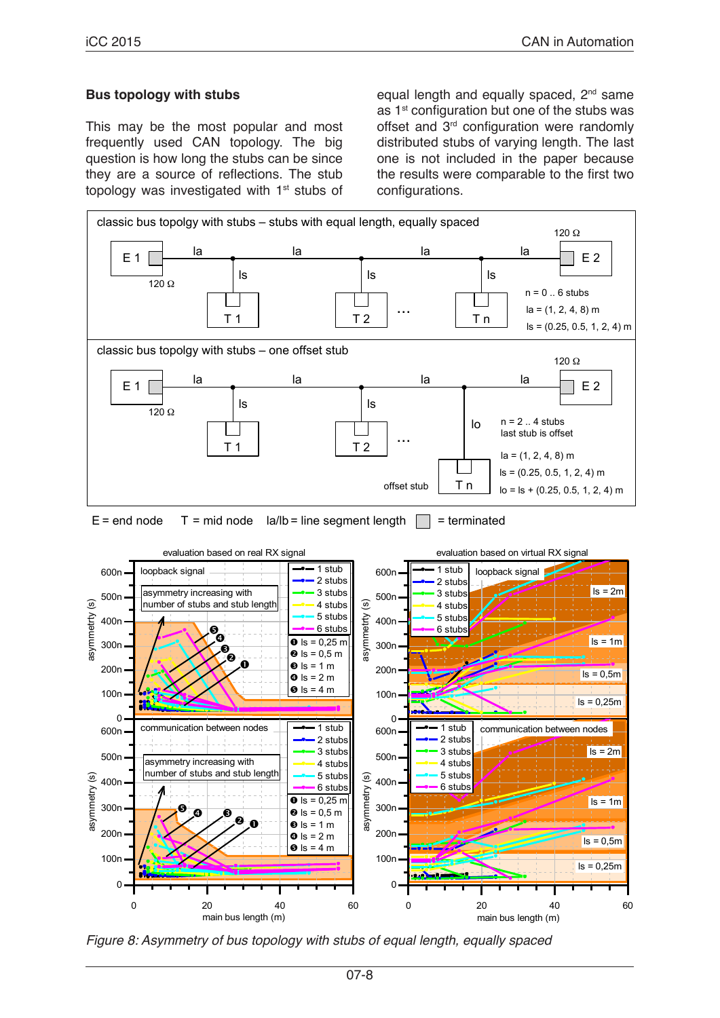### **Bus topology with stubs**

This may be the most popular and most frequently used CAN topology. The big question is how long the stubs can be since they are a source of reflections. The stub topology was investigated with 1<sup>st</sup> stubs of equal length and equally spaced, 2<sup>nd</sup> same as 1st configuration but one of the stubs was offset and 3<sup>rd</sup> configuration were randomly distributed stubs of varying length. The last one is not included in the paper because the results were comparable to the first two configurations.



*Figure 8: Asymmetry of bus topology with stubs of equal length, equally spaced*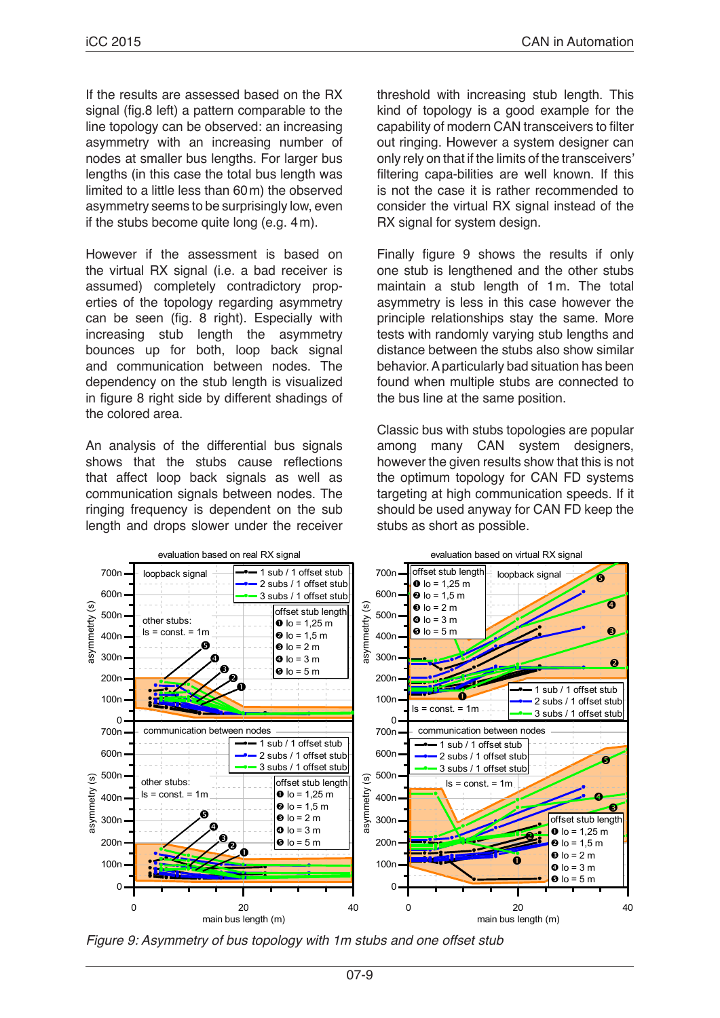If the results are assessed based on the RX signal (fig.8 left) a pattern comparable to the line topology can be observed: an increasing asymmetry with an increasing number of nodes at smaller bus lengths. For larger bus lengths (in this case the total bus length was limited to a little less than 60m) the observed asymmetry seems to be surprisingly low, even if the stubs become quite long (e.g. 4m).

However if the assessment is based on the virtual RX signal (i.e. a bad receiver is assumed) completely contradictory properties of the topology regarding asymmetry can be seen (fig. 8 right). Especially with increasing stub length the asymmetry bounces up for both, loop back signal and communication between nodes. The dependency on the stub length is visualized in figure 8 right side by different shadings of the colored area.

An analysis of the differential bus signals shows that the stubs cause reflections that affect loop back signals as well as communication signals between nodes. The ringing frequency is dependent on the sub length and drops slower under the receiver threshold with increasing stub length. This kind of topology is a good example for the capability of modern CAN transceivers to filter out ringing. However a system designer can only rely on that if the limits of the transceivers' filtering capa-bilities are well known. If this is not the case it is rather recommended to consider the virtual RX signal instead of the RX signal for system design.

Finally figure 9 shows the results if only one stub is lengthened and the other stubs maintain a stub length of 1m. The total asymmetry is less in this case however the principle relationships stay the same. More tests with randomly varying stub lengths and distance between the stubs also show similar behavior. A particularly bad situation has been found when multiple stubs are connected to the bus line at the same position.

Classic bus with stubs topologies are popular among many CAN system designers, however the given results show that this is not the optimum topology for CAN FD systems targeting at high communication speeds. If it should be used anyway for CAN FD keep the stubs as short as possible.



*Figure 9: Asymmetry of bus topology with 1m stubs and one offset stub*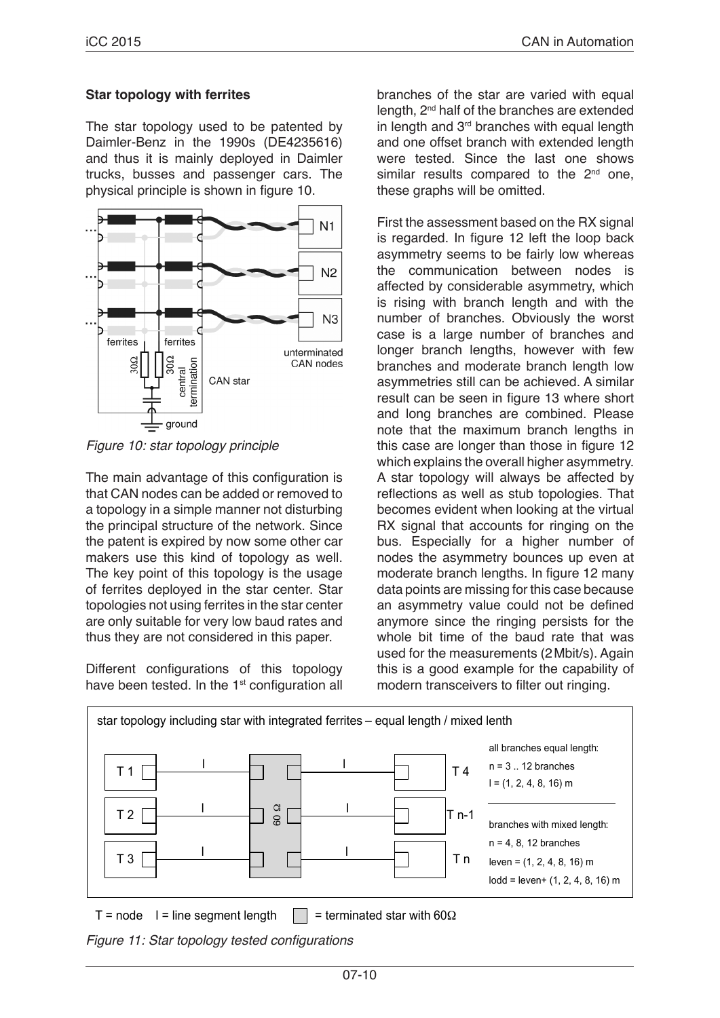#### **Star topology with ferrites**

The star topology used to be patented by Daimler-Benz in the 1990s (DE4235616) and thus it is mainly deployed in Daimler trucks, busses and passenger cars. The physical principle is shown in figure 10.



*Figure 10: star topology principle*

The main advantage of this configuration is that CAN nodes can be added or removed to a topology in a simple manner not disturbing the principal structure of the network. Since the patent is expired by now some other car makers use this kind of topology as well. The key point of this topology is the usage of ferrites deployed in the star center. Star topologies not using ferrites in the star center are only suitable for very low baud rates and thus they are not considered in this paper.

Different configurations of this topology have been tested. In the 1<sup>st</sup> configuration all branches of the star are varied with equal length, 2nd half of the branches are extended in length and  $3<sup>rd</sup>$  branches with equal length and one offset branch with extended length were tested. Since the last one shows similar results compared to the  $2<sup>nd</sup>$  one, these graphs will be omitted.

First the assessment based on the RX signal is regarded. In figure 12 left the loop back asymmetry seems to be fairly low whereas the communication between nodes is affected by considerable asymmetry, which is rising with branch length and with the number of branches. Obviously the worst case is a large number of branches and longer branch lengths, however with few branches and moderate branch length low asymmetries still can be achieved. A similar result can be seen in figure 13 where short and long branches are combined. Please note that the maximum branch lengths in this case are longer than those in figure 12 which explains the overall higher asymmetry. A star topology will always be affected by reflections as well as stub topologies. That becomes evident when looking at the virtual RX signal that accounts for ringing on the bus. Especially for a higher number of nodes the asymmetry bounces up even at moderate branch lengths. In figure 12 many data points are missing for this case because an asymmetry value could not be defined anymore since the ringing persists for the whole bit time of the baud rate that was used for the measurements (2Mbit/s). Again this is a good example for the capability of modern transceivers to filter out ringing.



Figure 11: Star topology tested configurations